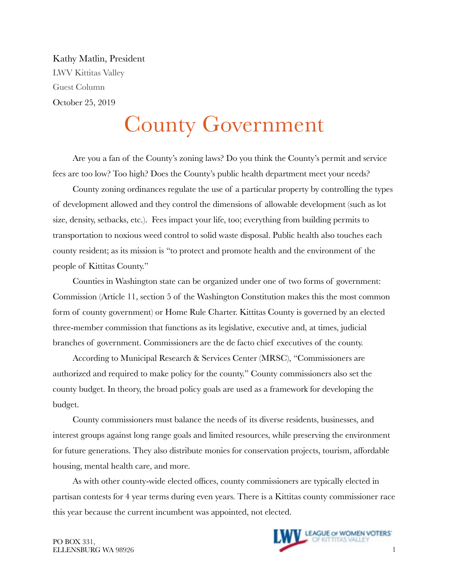Kathy Matlin, President LWV Kittitas Valley Guest Column October 25, 2019

## County Government

Are you a fan of the County's zoning laws? Do you think the County's permit and service fees are too low? Too high? Does the County's public health department meet your needs?

County zoning ordinances regulate the use of a particular property by controlling the types of development allowed and they control the dimensions of allowable development (such as lot size, density, setbacks, etc.). Fees impact your life, too; everything from building permits to transportation to noxious weed control to solid waste disposal. Public health also touches each county resident; as its mission is "to protect and promote health and the environment of the people of Kittitas County."

Counties in Washington state can be organized under one of two forms of government: Commission (Article 11, section 5 of the Washington Constitution makes this the most common form of county government) or Home Rule Charter. Kittitas County is governed by an elected three-member commission that functions as its legislative, executive and, at times, judicial branches of government. Commissioners are the de facto chief executives of the county.

According to Municipal Research & Services Center (MRSC), "Commissioners are authorized and required to make policy for the county." County commissioners also set the county budget. In theory, the broad policy goals are used as a framework for developing the budget.

County commissioners must balance the needs of its diverse residents, businesses, and interest groups against long range goals and limited resources, while preserving the environment for future generations. They also distribute monies for conservation projects, tourism, affordable housing, mental health care, and more.

As with other county-wide elected offices, county commissioners are typically elected in partisan contests for 4 year terms during even years. There is a Kittitas county commissioner race this year because the current incumbent was appointed, not elected.